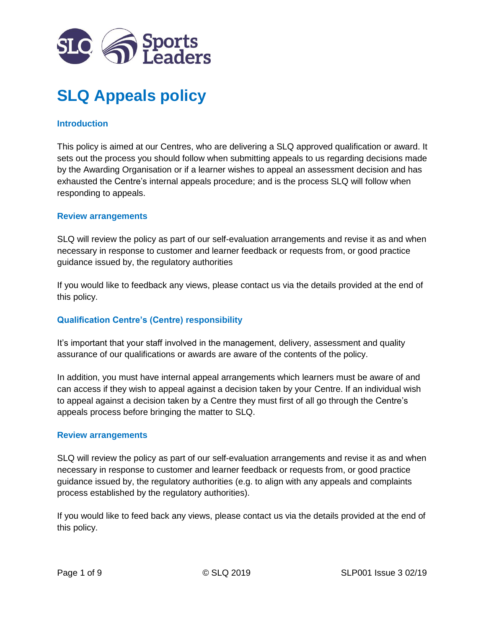

# **SLQ Appeals policy**

### **Introduction**

This policy is aimed at our Centres, who are delivering a SLQ approved qualification or award. It sets out the process you should follow when submitting appeals to us regarding decisions made by the Awarding Organisation or if a learner wishes to appeal an assessment decision and has exhausted the Centre's internal appeals procedure; and is the process SLQ will follow when responding to appeals.

#### **Review arrangements**

SLQ will review the policy as part of our self-evaluation arrangements and revise it as and when necessary in response to customer and learner feedback or requests from, or good practice guidance issued by, the regulatory authorities

If you would like to feedback any views, please contact us via the details provided at the end of this policy.

#### **Qualification Centre's (Centre) responsibility**

It's important that your staff involved in the management, delivery, assessment and quality assurance of our qualifications or awards are aware of the contents of the policy.

In addition, you must have internal appeal arrangements which learners must be aware of and can access if they wish to appeal against a decision taken by your Centre. If an individual wish to appeal against a decision taken by a Centre they must first of all go through the Centre's appeals process before bringing the matter to SLQ.

#### **Review arrangements**

SLQ will review the policy as part of our self-evaluation arrangements and revise it as and when necessary in response to customer and learner feedback or requests from, or good practice guidance issued by, the regulatory authorities (e.g. to align with any appeals and complaints process established by the regulatory authorities).

If you would like to feed back any views, please contact us via the details provided at the end of this policy.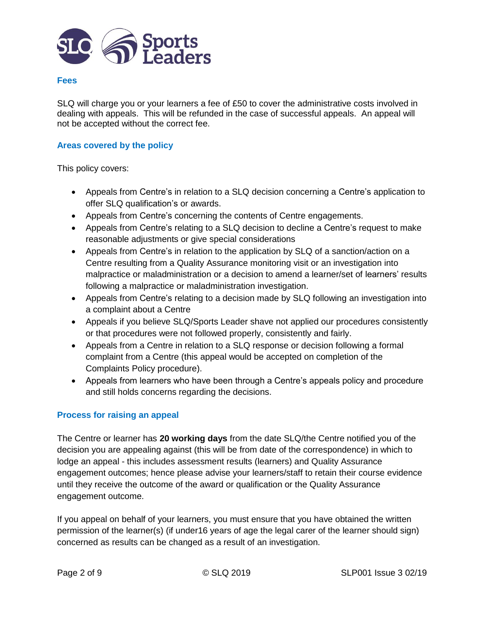

#### **Fees**

SLQ will charge you or your learners a fee of £50 to cover the administrative costs involved in dealing with appeals. This will be refunded in the case of successful appeals. An appeal will not be accepted without the correct fee.

#### **Areas covered by the policy**

This policy covers:

- Appeals from Centre's in relation to a SLQ decision concerning a Centre's application to offer SLQ qualification's or awards.
- Appeals from Centre's concerning the contents of Centre engagements.
- Appeals from Centre's relating to a SLQ decision to decline a Centre's request to make reasonable adjustments or give special considerations
- Appeals from Centre's in relation to the application by SLQ of a sanction/action on a Centre resulting from a Quality Assurance monitoring visit or an investigation into malpractice or maladministration or a decision to amend a learner/set of learners' results following a malpractice or maladministration investigation.
- Appeals from Centre's relating to a decision made by SLQ following an investigation into a complaint about a Centre
- Appeals if you believe SLQ/Sports Leader shave not applied our procedures consistently or that procedures were not followed properly, consistently and fairly.
- Appeals from a Centre in relation to a SLQ response or decision following a formal complaint from a Centre (this appeal would be accepted on completion of the Complaints Policy procedure).
- Appeals from learners who have been through a Centre's appeals policy and procedure and still holds concerns regarding the decisions.

# **Process for raising an appeal**

The Centre or learner has **20 working days** from the date SLQ/the Centre notified you of the decision you are appealing against (this will be from date of the correspondence) in which to lodge an appeal - this includes assessment results (learners) and Quality Assurance engagement outcomes; hence please advise your learners/staff to retain their course evidence until they receive the outcome of the award or qualification or the Quality Assurance engagement outcome.

If you appeal on behalf of your learners, you must ensure that you have obtained the written permission of the learner(s) (if under16 years of age the legal carer of the learner should sign) concerned as results can be changed as a result of an investigation.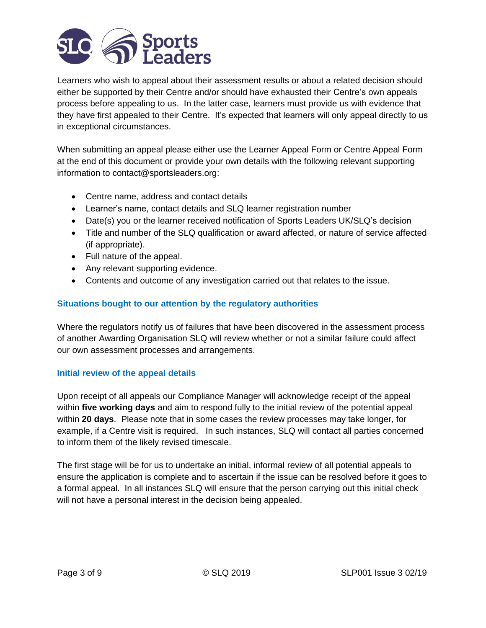

Learners who wish to appeal about their assessment results or about a related decision should either be supported by their Centre and/or should have exhausted their Centre's own appeals process before appealing to us. In the latter case, learners must provide us with evidence that they have first appealed to their Centre. It's expected that learners will only appeal directly to us in exceptional circumstances.

When submitting an appeal please either use the Learner Appeal Form or Centre Appeal Form at the end of this document or provide your own details with the following relevant supporting information to contact@sportsleaders.org:

- Centre name, address and contact details
- Learner's name, contact details and SLQ learner registration number
- Date(s) you or the learner received notification of Sports Leaders UK/SLQ's decision
- Title and number of the SLQ qualification or award affected, or nature of service affected (if appropriate).
- Full nature of the appeal.
- Any relevant supporting evidence.
- Contents and outcome of any investigation carried out that relates to the issue.

# **Situations bought to our attention by the regulatory authorities**

Where the regulators notify us of failures that have been discovered in the assessment process of another Awarding Organisation SLQ will review whether or not a similar failure could affect our own assessment processes and arrangements.

#### **Initial review of the appeal details**

Upon receipt of all appeals our Compliance Manager will acknowledge receipt of the appeal within **five working days** and aim to respond fully to the initial review of the potential appeal within **20 days**. Please note that in some cases the review processes may take longer, for example, if a Centre visit is required. In such instances, SLQ will contact all parties concerned to inform them of the likely revised timescale.

The first stage will be for us to undertake an initial, informal review of all potential appeals to ensure the application is complete and to ascertain if the issue can be resolved before it goes to a formal appeal. In all instances SLQ will ensure that the person carrying out this initial check will not have a personal interest in the decision being appealed.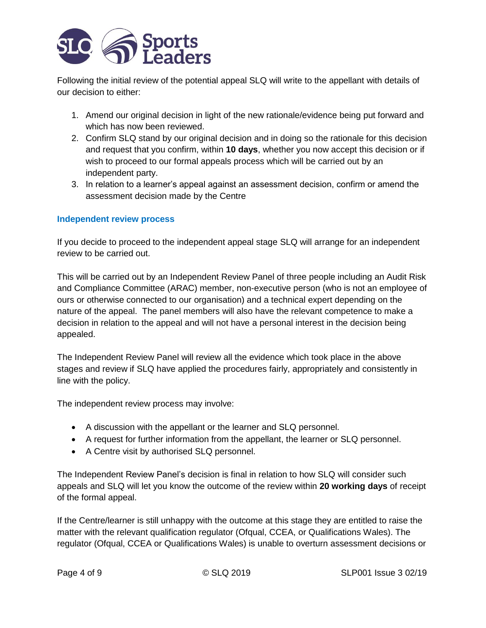

Following the initial review of the potential appeal SLQ will write to the appellant with details of our decision to either:

- 1. Amend our original decision in light of the new rationale/evidence being put forward and which has now been reviewed.
- 2. Confirm SLQ stand by our original decision and in doing so the rationale for this decision and request that you confirm, within **10 days**, whether you now accept this decision or if wish to proceed to our formal appeals process which will be carried out by an independent party.
- 3. In relation to a learner's appeal against an assessment decision, confirm or amend the assessment decision made by the Centre

#### **Independent review process**

If you decide to proceed to the independent appeal stage SLQ will arrange for an independent review to be carried out.

This will be carried out by an Independent Review Panel of three people including an Audit Risk and Compliance Committee (ARAC) member, non-executive person (who is not an employee of ours or otherwise connected to our organisation) and a technical expert depending on the nature of the appeal. The panel members will also have the relevant competence to make a decision in relation to the appeal and will not have a personal interest in the decision being appealed.

The Independent Review Panel will review all the evidence which took place in the above stages and review if SLQ have applied the procedures fairly, appropriately and consistently in line with the policy.

The independent review process may involve:

- A discussion with the appellant or the learner and SLQ personnel.
- A request for further information from the appellant, the learner or SLQ personnel.
- A Centre visit by authorised SLQ personnel.

The Independent Review Panel's decision is final in relation to how SLQ will consider such appeals and SLQ will let you know the outcome of the review within **20 working days** of receipt of the formal appeal.

If the Centre/learner is still unhappy with the outcome at this stage they are entitled to raise the matter with the relevant qualification regulator (Ofqual, CCEA, or Qualifications Wales). The regulator (Ofqual, CCEA or Qualifications Wales) is unable to overturn assessment decisions or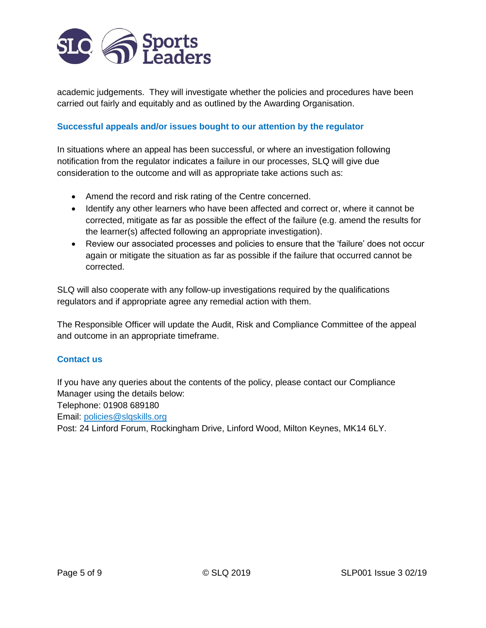

academic judgements. They will investigate whether the policies and procedures have been carried out fairly and equitably and as outlined by the Awarding Organisation.

# **Successful appeals and/or issues bought to our attention by the regulator**

In situations where an appeal has been successful, or where an investigation following notification from the regulator indicates a failure in our processes, SLQ will give due consideration to the outcome and will as appropriate take actions such as:

- Amend the record and risk rating of the Centre concerned.
- Identify any other learners who have been affected and correct or, where it cannot be corrected, mitigate as far as possible the effect of the failure (e.g. amend the results for the learner(s) affected following an appropriate investigation).
- Review our associated processes and policies to ensure that the 'failure' does not occur again or mitigate the situation as far as possible if the failure that occurred cannot be corrected.

SLQ will also cooperate with any follow-up investigations required by the qualifications regulators and if appropriate agree any remedial action with them.

The Responsible Officer will update the Audit, Risk and Compliance Committee of the appeal and outcome in an appropriate timeframe.

#### **Contact us**

If you have any queries about the contents of the policy, please contact our Compliance Manager using the details below:

Telephone: 01908 689180

Email: [policies@slqskills.org](mailto:policies@slqskills.org)

Post: 24 Linford Forum, Rockingham Drive, Linford Wood, Milton Keynes, MK14 6LY.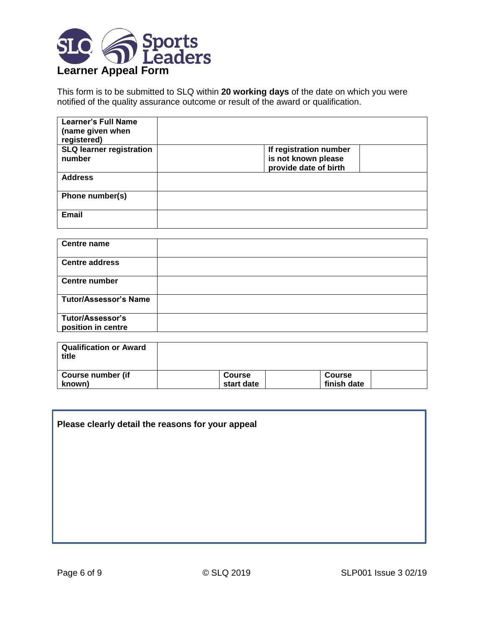

This form is to be submitted to SLQ within **20 working days** of the date on which you were notified of the quality assurance outcome or result of the award or qualification.

| <b>Learner's Full Name</b><br>(name given when<br>registered) |                        |
|---------------------------------------------------------------|------------------------|
| <b>SLQ learner registration</b>                               | If registration number |
| number                                                        | is not known please    |
|                                                               | provide date of birth  |
| <b>Address</b>                                                |                        |
| Phone number(s)                                               |                        |
|                                                               |                        |
| <b>Email</b>                                                  |                        |
|                                                               |                        |

| <b>Centre name</b>                            |  |
|-----------------------------------------------|--|
| <b>Centre address</b>                         |  |
| <b>Centre number</b>                          |  |
| <b>Tutor/Assessor's Name</b>                  |  |
| <b>Tutor/Assessor's</b><br>position in centre |  |

| ∣ Qualification or Award<br>title |               |               |  |
|-----------------------------------|---------------|---------------|--|
| Course number (if                 | <b>Course</b> | <b>Course</b> |  |
| known)                            | start date    | finish date   |  |

# **Please clearly detail the reasons for your appeal**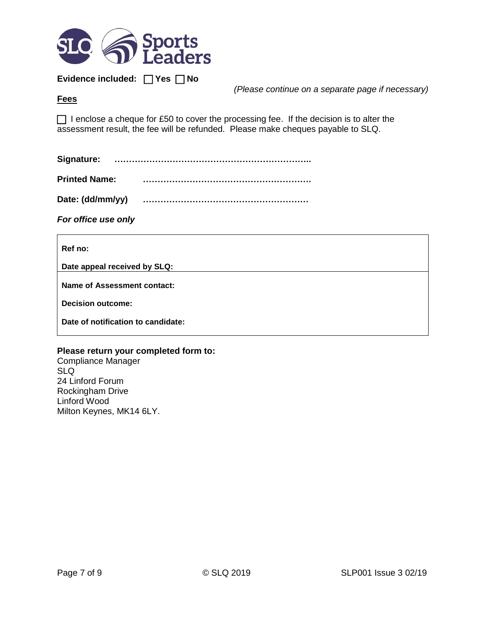

**Evidence included:** □ Yes □ No

*(Please continue on a separate page if necessary)*

#### **Fees**

□ I enclose a cheque for £50 to cover the processing fee. If the decision is to alter the assessment result, the fee will be refunded. Please make cheques payable to SLQ.

| <b>Printed Name:</b> |  |
|----------------------|--|
| Date: (dd/mm/yy)     |  |

*For office use only*

**Ref no:**

**Date appeal received by SLQ:**

**Name of Assessment contact:**

**Decision outcome:**

**Date of notification to candidate:**

#### **Please return your completed form to:**

Compliance Manager SLQ 24 Linford Forum Rockingham Drive Linford Wood Milton Keynes, MK14 6LY.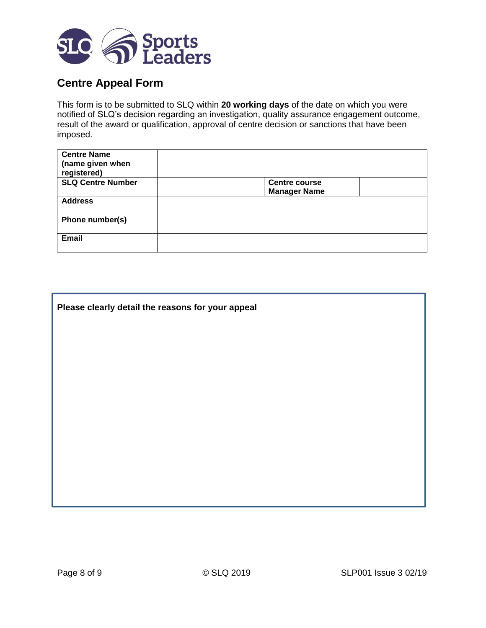

# **Centre Appeal Form**

This form is to be submitted to SLQ within **20 working days** of the date on which you were notified of SLQ's decision regarding an investigation, quality assurance engagement outcome, result of the award or qualification, approval of centre decision or sanctions that have been imposed.

| <b>Centre Name</b><br>(name given when<br>registered) |                      |
|-------------------------------------------------------|----------------------|
| <b>SLQ Centre Number</b>                              | <b>Centre course</b> |
|                                                       | <b>Manager Name</b>  |
| <b>Address</b>                                        |                      |
| Phone number(s)                                       |                      |
| <b>Email</b>                                          |                      |

| Please clearly detail the reasons for your appeal |  |  |
|---------------------------------------------------|--|--|
|                                                   |  |  |
|                                                   |  |  |
|                                                   |  |  |
|                                                   |  |  |
|                                                   |  |  |
|                                                   |  |  |